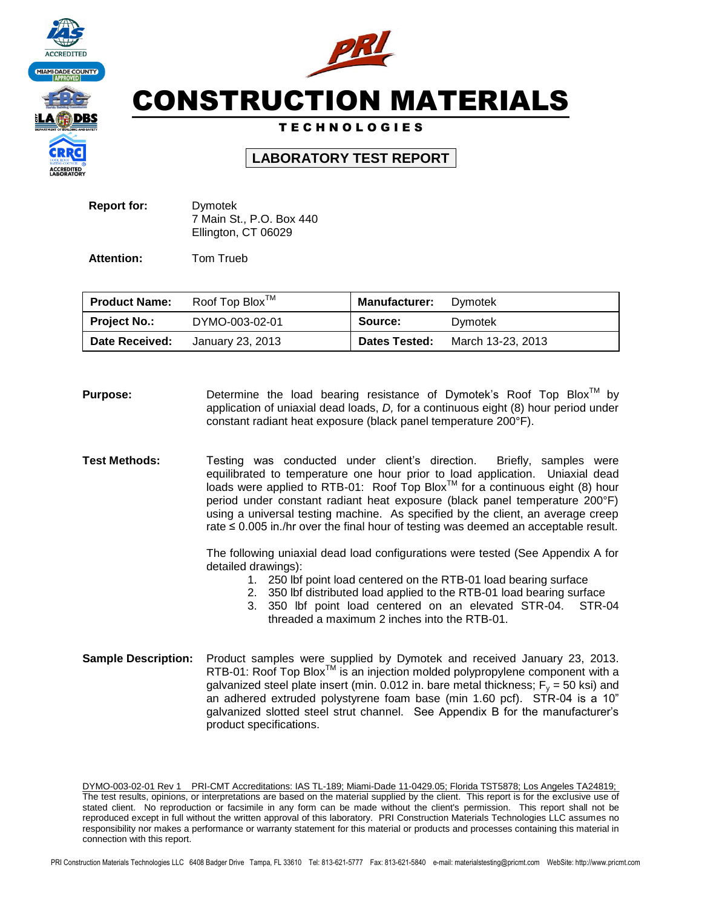



T E C H N O L O G I E S

# **LABORATORY TEST REPORT**

| <b>Report for:</b> | Dymotek                  |
|--------------------|--------------------------|
|                    | 7 Main St., P.O. Box 440 |
|                    | Ellington, CT 06029      |
|                    |                          |

**Attention:** Tom Trueb

| <b>Product Name:</b>  | Roof Top Blox <sup>™</sup> | <b>Manufacturer:</b> | Dymotek           |
|-----------------------|----------------------------|----------------------|-------------------|
| <b>Project No.:</b>   | DYMO-003-02-01             | Source:              | Dymotek           |
| <b>Date Received:</b> | January 23, 2013           | <b>Dates Tested:</b> | March 13-23, 2013 |

**Purpose:** Determine the load bearing resistance of Dymotek's Roof Top Blox<sup>™</sup> by application of uniaxial dead loads, *D,* for a continuous eight (8) hour period under constant radiant heat exposure (black panel temperature 200°F).

**Test Methods:** Testing was conducted under client's direction. Briefly, samples were equilibrated to temperature one hour prior to load application. Uniaxial dead loads were applied to RTB-01: Roof Top Blox<sup>TM</sup> for a continuous eight (8) hour period under constant radiant heat exposure (black panel temperature 200°F) using a universal testing machine. As specified by the client, an average creep rate ≤ 0.005 in./hr over the final hour of testing was deemed an acceptable result.

> The following uniaxial dead load configurations were tested (See Appendix A for detailed drawings):

- 1. 250 lbf point load centered on the RTB-01 load bearing surface
- 2. 350 lbf distributed load applied to the RTB-01 load bearing surface
- 3. 350 lbf point load centered on an elevated STR-04. STR-04 threaded a maximum 2 inches into the RTB-01.
- **Sample Description:** Product samples were supplied by Dymotek and received January 23, 2013. RTB-01: Roof Top Blox<sup>™</sup> is an injection molded polypropylene component with a galvanized steel plate insert (min. 0.012 in. bare metal thickness;  $F_v = 50$  ksi) and an adhered extruded polystyrene foam base (min 1.60 pcf). STR-04 is a 10" galvanized slotted steel strut channel. See Appendix B for the manufacturer's product specifications.

DYMO-003-02-01 Rev 1 PRI-CMT Accreditations: IAS TL-189; Miami-Dade 11-0429.05; Florida TST5878; Los Angeles TA24819; The test results, opinions, or interpretations are based on the material supplied by the client. This report is for the exclusive use of stated client. No reproduction or facsimile in any form can be made without the client's permission. This report shall not be reproduced except in full without the written approval of this laboratory. PRI Construction Materials Technologies LLC assumes no responsibility nor makes a performance or warranty statement for this material or products and processes containing this material in connection with this report.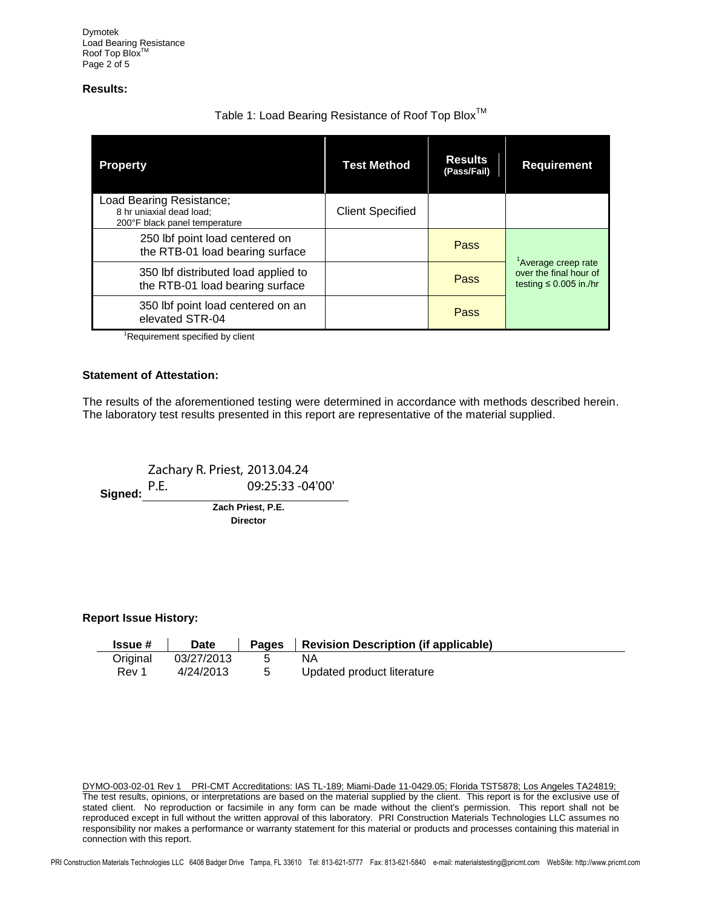## **Results:**

# Table 1: Load Bearing Resistance of Roof Top Blox<sup>™</sup>

| <b>Property</b>                                                                       | <b>Test Method</b>      | <b>Results</b><br>(Pass/Fail) | <b>Requirement</b>                                                                       |
|---------------------------------------------------------------------------------------|-------------------------|-------------------------------|------------------------------------------------------------------------------------------|
| Load Bearing Resistance;<br>8 hr uniaxial dead load:<br>200°F black panel temperature | <b>Client Specified</b> |                               |                                                                                          |
| 250 lbf point load centered on<br>the RTB-01 load bearing surface                     |                         | Pass                          |                                                                                          |
| 350 lbf distributed load applied to<br>the RTB-01 load bearing surface                |                         | Pass                          | <sup>1</sup> Average creep rate<br>over the final hour of<br>testing $\leq 0.005$ in /hr |
| 350 lbf point load centered on an<br>elevated STR-04                                  |                         | Pass                          |                                                                                          |

<sup>1</sup>Requirement specified by client

#### **Statement of Attestation:**

The results of the aforementioned testing were determined in accordance with methods described herein. The laboratory test results presented in this report are representative of the material supplied.

**Signed:** P.E. **Zach Priest, P.E.** Zachary R. Priest, 2013.04.24 09:25:33 -04'00'

**Director**

#### **Report Issue History:**

| <b>Issue #</b> | Date       | Pages | Revision Description (if applicable) |
|----------------|------------|-------|--------------------------------------|
| Original       | 03/27/2013 |       | NΑ                                   |
| Rev 1          | 4/24/2013  | 5     | Updated product literature           |

DYMO-003-02-01 Rev 1 PRI-CMT Accreditations: IAS TL-189; Miami-Dade 11-0429.05; Florida TST5878; Los Angeles TA24819; The test results, opinions, or interpretations are based on the material supplied by the client. This report is for the exclusive use of stated client. No reproduction or facsimile in any form can be made without the client's permission. This report shall not be reproduced except in full without the written approval of this laboratory. PRI Construction Materials Technologies LLC assumes no responsibility nor makes a performance or warranty statement for this material or products and processes containing this material in connection with this report.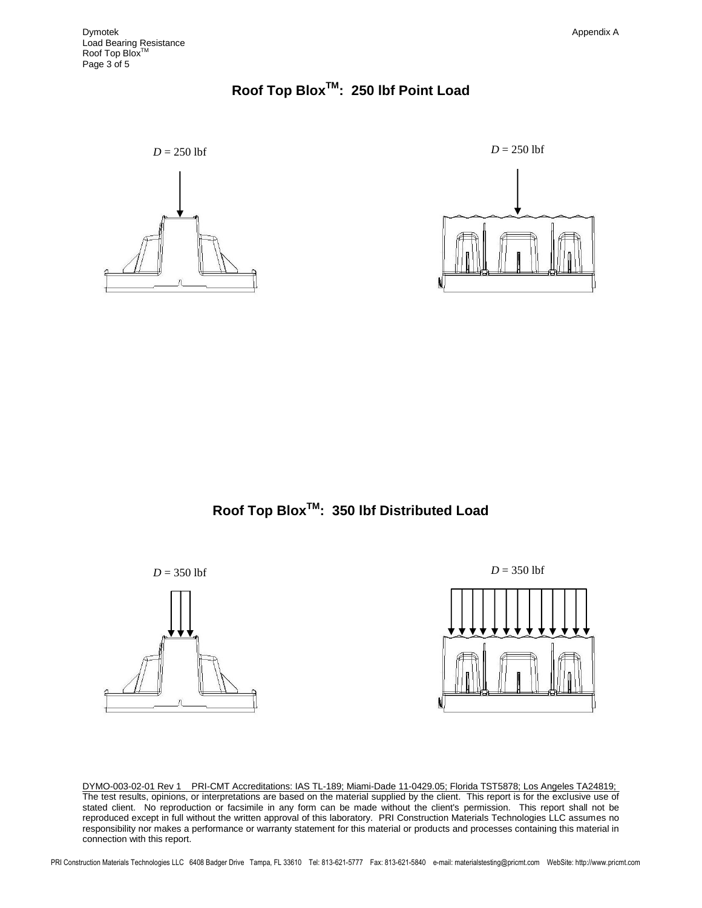# **Roof Top BloxTM: 250 lbf Point Load**







DYMO-003-02-01 Rev 1 PRI-CMT Accreditations: IAS TL-189; Miami-Dade 11-0429.05; Florida TST5878; Los Angeles TA24819; The test results, opinions, or interpretations are based on the material supplied by the client. This report is for the exclusive use of stated client. No reproduction or facsimile in any form can be made without the client's permission. This report shall not be reproduced except in full without the written approval of this laboratory. PRI Construction Materials Technologies LLC assumes no responsibility nor makes a performance or warranty statement for this material or products and processes containing this material in connection with this report.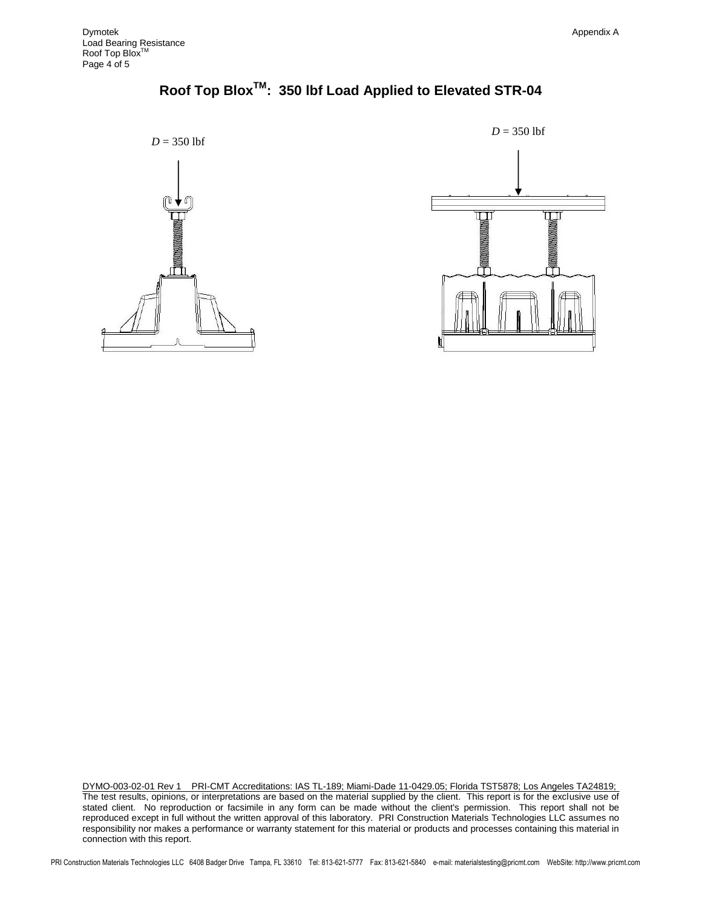





DYMO-003-02-01 Rev 1 PRI-CMT Accreditations: IAS TL-189; Miami-Dade 11-0429.05; Florida TST5878; Los Angeles TA24819; The test results, opinions, or interpretations are based on the material supplied by the client. This report is for the exclusive use of stated client. No reproduction or facsimile in any form can be made without the client's permission. This report shall not be reproduced except in full without the written approval of this laboratory. PRI Construction Materials Technologies LLC assumes no responsibility nor makes a performance or warranty statement for this material or products and processes containing this material in connection with this report.